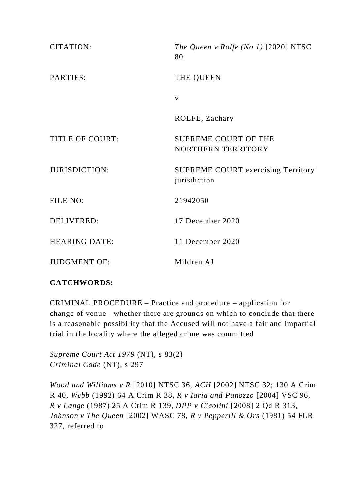| CITATION:              | The Queen v Rolfe (No 1) $[2020]$ NTSC<br>80       |
|------------------------|----------------------------------------------------|
| PARTIES:               | THE QUEEN                                          |
|                        | $\mathbf{V}$                                       |
|                        | ROLFE, Zachary                                     |
| <b>TITLE OF COURT:</b> | <b>SUPREME COURT OF THE</b>                        |
|                        | NORTHERN TERRITORY                                 |
| <b>JURISDICTION:</b>   | SUPREME COURT exercising Territory<br>jurisdiction |
| FILE NO:               | 21942050                                           |
| <b>DELIVERED:</b>      | 17 December 2020                                   |
| <b>HEARING DATE:</b>   | 11 December 2020                                   |
| <b>JUDGMENT OF:</b>    | Mildren AJ                                         |

## **CATCHWORDS:**

CRIMINAL PROCEDURE – Practice and procedure – application for change of venue - whether there are grounds on which to conclude that there is a reasonable possibility that the Accused will not have a fair and impartial trial in the locality where the alleged crime was committed

*Supreme Court Act 1979* (NT), s 83(2) *Criminal Code* (NT), s 297

*Wood and Williams v R* [2010] NTSC 36, *ACH* [2002] NTSC 32; 130 A Crim R 40, *Webb* (1992) 64 A Crim R 38, *R v Iaria and Panozzo* [2004] VSC 96, *R v Lange* (1987) 25 A Crim R 139, *DPP v Cicolini* [2008] 2 Qd R 313, *Johnson v The Queen* [2002] WASC 78, *R v Pepperill & Ors* (1981) 54 FLR 327, referred to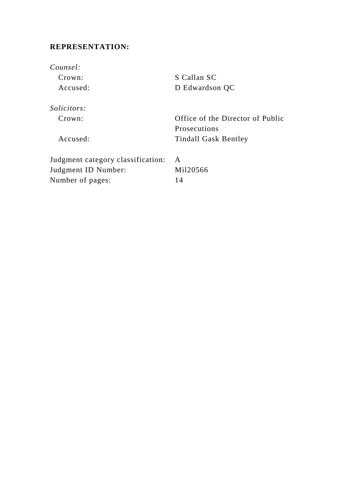# **REPRESENTATION:**

*Counsel:* Crown: S Callan SC Accused: D Edwardson QC *Solicitors:* Crown: Office of the Director of Public Prosecutions Accused: Tindall Gask Bentley Judgment category classification: A Judgment ID Number: Mil20566 Number of pages: 14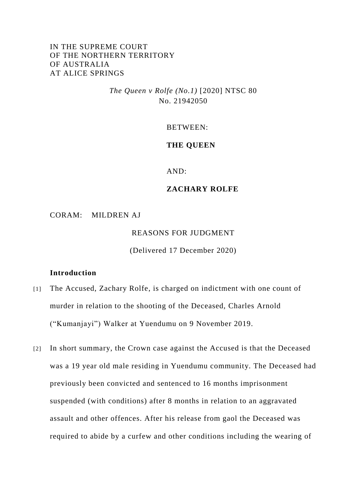### IN THE SUPREME COURT OF THE NORTHERN TERRITORY OF AUSTRALIA AT ALICE SPRINGS

*The Queen v Rolfe (No.1)* [2020] NTSC 80 No. 21942050

BETWEEN:

#### **THE QUEEN**

AND:

#### **ZACHARY ROLFE**

CORAM: MILDREN AJ

REASONS FOR JUDGMENT

(Delivered 17 December 2020)

#### **Introduction**

- [1] The Accused, Zachary Rolfe, is charged on indictment with one count of murder in relation to the shooting of the Deceased, Charles Arnold ("Kumanjayi") Walker at Yuendumu on 9 November 2019.
- [2] In short summary, the Crown case against the Accused is that the Deceased was a 19 year old male residing in Yuendumu community. The Deceased had previously been convicted and sentenced to 16 months imprisonment suspended (with conditions) after 8 months in relation to an aggravated assault and other offences. After his release from gaol the Deceased was required to abide by a curfew and other conditions including the wearing of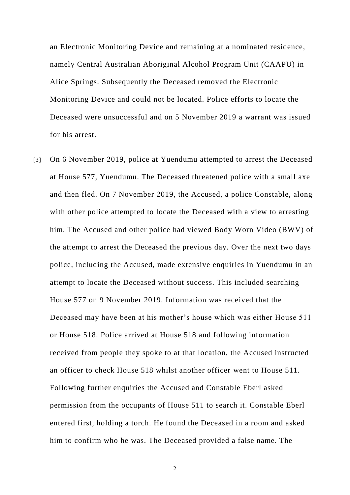an Electronic Monitoring Device and remaining at a nominated residence, namely Central Australian Aboriginal Alcohol Program Unit (CAAPU) in Alice Springs. Subsequently the Deceased removed the Electronic Monitoring Device and could not be located. Police efforts to locate the Deceased were unsuccessful and on 5 November 2019 a warrant was issued for his arrest.

[3] On 6 November 2019, police at Yuendumu attempted to arrest the Deceased at House 577, Yuendumu. The Deceased threatened police with a small axe and then fled. On 7 November 2019, the Accused, a police Constable, along with other police attempted to locate the Deceased with a view to arresting him. The Accused and other police had viewed Body Worn Video (BWV) of the attempt to arrest the Deceased the previous day. Over the next two days police, including the Accused, made extensive enquiries in Yuendumu in an attempt to locate the Deceased without success. This included searching House 577 on 9 November 2019. Information was received that the Deceased may have been at his mother's house which was either House 511 or House 518. Police arrived at House 518 and following information received from people they spoke to at that location, the Accused instructed an officer to check House 518 whilst another officer went to House 511. Following further enquiries the Accused and Constable Eberl asked permission from the occupants of House 511 to search it. Constable Eberl entered first, holding a torch. He found the Deceased in a room and asked him to confirm who he was. The Deceased provided a false name. The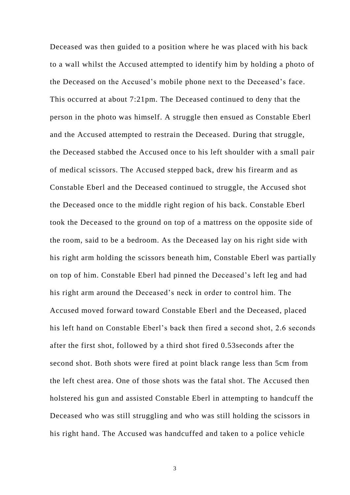Deceased was then guided to a position where he was placed with his back to a wall whilst the Accused attempted to identify him by holding a photo of the Deceased on the Accused's mobile phone next to the Deceased's face. This occurred at about 7:21pm. The Deceased continued to deny that the person in the photo was himself. A struggle then ensued as Constable Eberl and the Accused attempted to restrain the Deceased. During that struggle, the Deceased stabbed the Accused once to his left shoulder with a small pair of medical scissors. The Accused stepped back, drew his firearm and as Constable Eberl and the Deceased continued to struggle, the Accused shot the Deceased once to the middle right region of his back. Constable Eberl took the Deceased to the ground on top of a mattress on the opposite side of the room, said to be a bedroom. As the Deceased lay on his right side with his right arm holding the scissors beneath him, Constable Eberl was partially on top of him. Constable Eberl had pinned the Deceased's left leg and had his right arm around the Deceased's neck in order to control him. The Accused moved forward toward Constable Eberl and the Deceased, placed his left hand on Constable Eberl's back then fired a second shot, 2.6 seconds after the first shot, followed by a third shot fired 0.53seconds after the second shot. Both shots were fired at point black range less than 5cm from the left chest area. One of those shots was the fatal shot. The Accused then holstered his gun and assisted Constable Eberl in attempting to handcuff the Deceased who was still struggling and who was still holding the scissors in his right hand. The Accused was handcuffed and taken to a police vehicle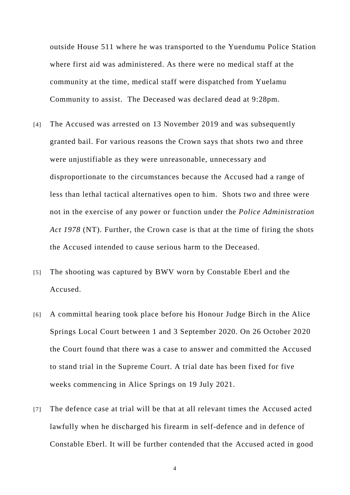outside House 511 where he was transported to the Yuendumu Police Station where first aid was administered. As there were no medical staff at the community at the time, medical staff were dispatched from Yuelamu Community to assist. The Deceased was declared dead at 9:28pm.

- [4] The Accused was arrested on 13 November 2019 and was subsequently granted bail. For various reasons the Crown says that shots two and three were unjustifiable as they were unreasonable, unnecessary and disproportionate to the circumstances because the Accused had a range of less than lethal tactical alternatives open to him. Shots two and three were not in the exercise of any power or function under the *Police Administration Act 1978* (NT). Further, the Crown case is that at the time of firing the shots the Accused intended to cause serious harm to the Deceased.
- [5] The shooting was captured by BWV worn by Constable Eberl and the Accused.
- [6] A committal hearing took place before his Honour Judge Birch in the Alice Springs Local Court between 1 and 3 September 2020. On 26 October 2020 the Court found that there was a case to answer and committed the Accused to stand trial in the Supreme Court. A trial date has been fixed for five weeks commencing in Alice Springs on 19 July 2021.
- [7] The defence case at trial will be that at all relevant times the Accused acted lawfully when he discharged his firearm in self-defence and in defence of Constable Eberl. It will be further contended that the Accused acted in good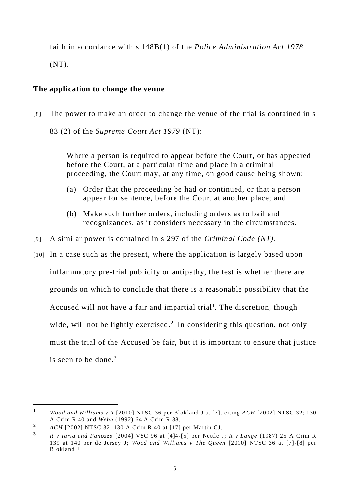faith in accordance with s 148B(1) of the *Police Administration Act 1978*  $(NT)$ .

### **The application to change the venue**

[8] The power to make an order to change the venue of the trial is contained in s

83 (2) of the *Supreme Court Act 1979* (NT):

Where a person is required to appear before the Court, or has appeared before the Court, at a particular time and place in a criminal proceeding, the Court may, at any time, on good cause being shown:

- (a) Order that the proceeding be had or continued, or that a person appear for sentence, before the Court at another place; and
- (b) Make such further orders, including orders as to bail and recognizances, as it considers necessary in the circumstances.
- [9] A similar power is contained in s 297 of the *Criminal Code (NT).*
- [10] In a case such as the present, where the application is largely based upon inflammatory pre-trial publicity or antipathy, the test is whether there are grounds on which to conclude that there is a reasonable possibility that the Accused will not have a fair and impartial trial<sup>1</sup>. The discretion, though wide, will not be lightly exercised.<sup>2</sup> In considering this question, not only must the trial of the Accused be fair, but it is important to ensure that justice is seen to be done.<sup>3</sup>

 $\overline{a}$ 

**<sup>1</sup>** *Wood and Williams v R* [2010] NTSC 36 per Blokland J at [7], citing *ACH* [2002] NTSC 32; 130 A Crim R 40 and *Webb* (1992) 64 A Crim R 38.

**<sup>2</sup>** *ACH* [2002] NTSC 32; 130 A Crim R 40 at [17] per Martin CJ.

**<sup>3</sup>** *R v Iaria and Panozzo* [2004] VSC 96 at [4]4-[5] per Nettle J; *R v Lange* (1987) 25 A Crim R 139 at 140 per de Jersey J; *Wood and Williams v The Queen* [2010] NTSC 36 at [7]-[8] per Blokland J.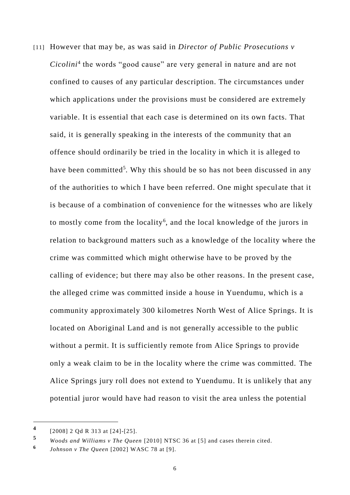[11] However that may be, as was said in *Director of Public Prosecutions v Cicolini*<sup>4</sup> the words "good cause" are very general in nature and are not confined to causes of any particular description. The circumstances under which applications under the provisions must be considered are extremely variable. It is essential that each case is determined on its own facts. That said, it is generally speaking in the interests of the community that an offence should ordinarily be tried in the locality in which it is alleged to have been committed<sup>5</sup>. Why this should be so has not been discussed in any of the authorities to which I have been referred. One might specul ate that it is because of a combination of convenience for the witnesses who are likely to mostly come from the locality<sup>6</sup>, and the local knowledge of the jurors in relation to background matters such as a knowledge of the locality where the crime was committed which might otherwise have to be proved by the calling of evidence; but there may also be other reasons. In the present case, the alleged crime was committed inside a house in Yuendumu, which is a community approximately 300 kilometres North West of Alice Springs. It is located on Aboriginal Land and is not generally accessible to the public without a permit. It is sufficiently remote from Alice Springs to provide only a weak claim to be in the locality where the crime was committed. The Alice Springs jury roll does not extend to Yuendumu. It is unlikely that any potential juror would have had reason to visit the area unless the potential

 $\overline{a}$ 

**<sup>4</sup>** [2008] 2 Qd R 313 at [24]-[25].

**<sup>5</sup>** *Woods and Williams v The Queen* [2010] NTSC 36 at [5] and cases therein cited.

**<sup>6</sup>** *Johnson v The Queen* [2002] WASC 78 at [9].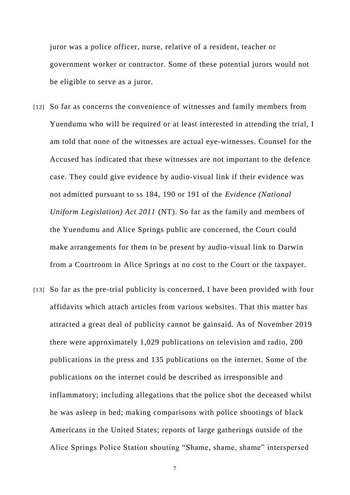juror was a police officer, nurse, relative of a resident, teacher or government worker or contractor. Some of these potential jurors would not be eligible to serve as a juror.

- [12] So far as concerns the convenience of witnesses and family members from Yuendumu who will be required or at least interested in attending the trial, I am told that none of the witnesses are actual eye-witnesses. Counsel for the Accused has indicated that these witnesses are not important to the defence case. They could give evidence by audio-visual link if their evidence was not admitted pursuant to ss 184, 190 or 191 of the *Evidence (National Uniform Legislation) Act 2011* (NT). So far as the family and members of the Yuendumu and Alice Springs public are concerned, the Court could make arrangements for them to be present by audio-visual link to Darwin from a Courtroom in Alice Springs at no cost to the Court or the taxpayer.
- [13] So far as the pre-trial publicity is concerned, I have been provided with four affidavits which attach articles from various websites. That this matter has attracted a great deal of publicity cannot be gainsaid. As of November 2019 there were approximately 1,029 publications on television and radio, 200 publications in the press and 135 publications on the internet. Some of the publications on the internet could be described as irresponsible and inflammatory; including allegations that the police shot the deceased whilst he was asleep in bed; making comparisons with police shootings of black Americans in the United States; reports of large gatherings outside of the Alice Springs Police Station shouting "Shame, shame, shame" interspersed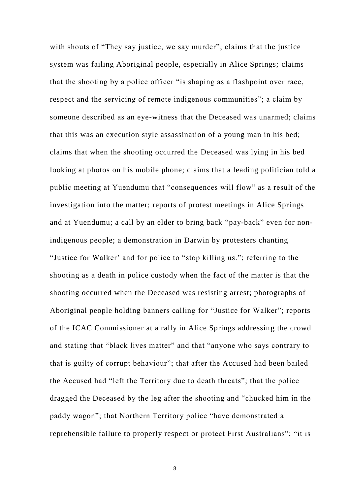with shouts of "They say justice, we say murder"; claims that the justice system was failing Aboriginal people, especially in Alice Springs; claims that the shooting by a police officer "is shaping as a flashpoint over race, respect and the servicing of remote indigenous communities"; a claim by someone described as an eye-witness that the Deceased was unarmed; claims that this was an execution style assassination of a young man in his bed; claims that when the shooting occurred the Deceased was lying in his bed looking at photos on his mobile phone; claims that a leading politician told a public meeting at Yuendumu that "consequences will flow" as a result of the investigation into the matter; reports of protest meetings in Alice Springs and at Yuendumu; a call by an elder to bring back "pay-back" even for nonindigenous people; a demonstration in Darwin by protesters chanting "Justice for Walker' and for police to "stop killing us."; referring to the shooting as a death in police custody when the fact of the matter is that the shooting occurred when the Deceased was resisting arrest; photographs of Aboriginal people holding banners calling for "Justice for Walker"; reports of the ICAC Commissioner at a rally in Alice Springs addressing the crowd and stating that "black lives matter" and that "anyone who says contrary to that is guilty of corrupt behaviour"; that after the Accused had been bailed the Accused had "left the Territory due to death threats"; that the police dragged the Deceased by the leg after the shooting and "chucked him in the paddy wagon"; that Northern Territory police "have demonstrated a reprehensible failure to properly respect or protect First Australians"; "it is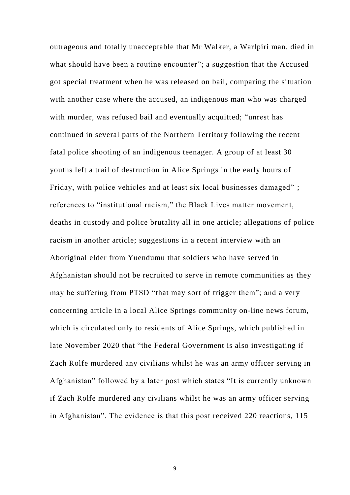outrageous and totally unacceptable that Mr Walker, a Warlpiri man, died in what should have been a routine encounter"; a suggestion that the Accused got special treatment when he was released on bail, comparing the situation with another case where the accused, an indigenous man who was charged with murder, was refused bail and eventually acquitted; "unrest has continued in several parts of the Northern Territory following the recent fatal police shooting of an indigenous teenager. A group of at least 30 youths left a trail of destruction in Alice Springs in the early hours of Friday, with police vehicles and at least six local businesses damaged" ; references to "institutional racism," the Black Lives matter movement, deaths in custody and police brutality all in one article; allegations of police racism in another article; suggestions in a recent interview with an Aboriginal elder from Yuendumu that soldiers who have served in Afghanistan should not be recruited to serve in remote communities as they may be suffering from PTSD "that may sort of trigger them"; and a very concerning article in a local Alice Springs community on-line news forum, which is circulated only to residents of Alice Springs, which published in late November 2020 that "the Federal Government is also investigating if Zach Rolfe murdered any civilians whilst he was an army officer serving in Afghanistan" followed by a later post which states "It is currently unknown if Zach Rolfe murdered any civilians whilst he was an army officer serving in Afghanistan". The evidence is that this post received 220 reactions, 115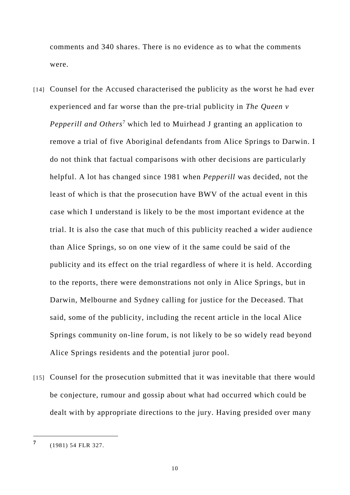comments and 340 shares. There is no evidence as to what the comments were.

- [14] Counsel for the Accused characterised the publicity as the worst he had ever experienced and far worse than the pre-trial publicity in *The Queen v Pepperill and Others*<sup>7</sup> which led to Muirhead J granting an application to remove a trial of five Aboriginal defendants from Alice Springs to Darwin. I do not think that factual comparisons with other decisions are particularly helpful. A lot has changed since 1981 when *Pepperill* was decided, not the least of which is that the prosecution have BWV of the actual event in this case which I understand is likely to be the most important evidence at the trial. It is also the case that much of this publicity reached a wider audience than Alice Springs, so on one view of it the same could be said of the publicity and its effect on the trial regardless of where it is held. According to the reports, there were demonstrations not only in Alice Springs, but in Darwin, Melbourne and Sydney calling for justice for the Deceased. That said, some of the publicity, including the recent article in the local Alice Springs community on-line forum, is not likely to be so widely read beyond Alice Springs residents and the potential juror pool.
- [15] Counsel for the prosecution submitted that it was inevitable that there would be conjecture, rumour and gossip about what had occurred which could be dealt with by appropriate directions to the jury. Having presided over many

 $\overline{a}$ 

**<sup>7</sup>** (1981) 54 FLR 327.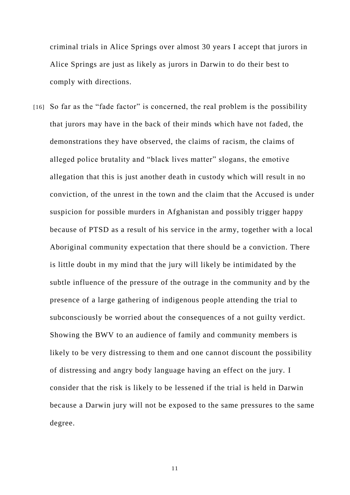criminal trials in Alice Springs over almost 30 years I accept that jurors in Alice Springs are just as likely as jurors in Darwin to do their best to comply with directions.

[16] So far as the "fade factor" is concerned, the real problem is the possibility that jurors may have in the back of their minds which have not faded, the demonstrations they have observed, the claims of racism, the claims of alleged police brutality and "black lives matter" slogans, the emotive allegation that this is just another death in custody which will result in no conviction, of the unrest in the town and the claim that the Accused is under suspicion for possible murders in Afghanistan and possibly trigger happy because of PTSD as a result of his service in the army, together with a local Aboriginal community expectation that there should be a conviction. There is little doubt in my mind that the jury will likely be intimidated by the subtle influence of the pressure of the outrage in the community and by the presence of a large gathering of indigenous people attending the trial to subconsciously be worried about the consequences of a not guilty verdict. Showing the BWV to an audience of family and community members is likely to be very distressing to them and one cannot discount the possibility of distressing and angry body language having an effect on the jury. I consider that the risk is likely to be lessened if the trial is held in Darwin because a Darwin jury will not be exposed to the same pressures to the same degree.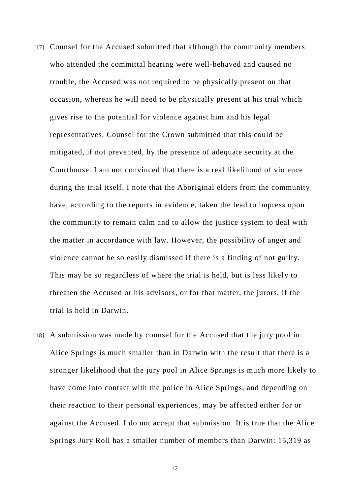- [17] Counsel for the Accused submitted that although the community members who attended the committal hearing were well-behaved and caused no trouble, the Accused was not required to be physically present on that occasion, whereas he will need to be physically present at his trial which gives rise to the potential for violence against him and his legal representatives. Counsel for the Crown submitted that this could be mitigated, if not prevented, by the presence of adequate security at the Courthouse. I am not convinced that there is a real likelihood of violence during the trial itself. I note that the Aboriginal elders from the community have, according to the reports in evidence, taken the lead to impress upon the community to remain calm and to allow the justice system to deal with the matter in accordance with law. However, the possibility of anger and violence cannot be so easily dismissed if there is a finding of not guilty. This may be so regardless of where the trial is held, but is less likely to threaten the Accused or his advisors, or for that matter, the jurors, if the trial is held in Darwin.
- [18] A submission was made by counsel for the Accused that the jury pool in Alice Springs is much smaller than in Darwin with the result that there is a stronger likelihood that the jury pool in Alice Springs is much more likely to have come into contact with the police in Alice Springs, and depending on their reaction to their personal experiences, may be affected either for or against the Accused. I do not accept that submission. It is true that the Alice Springs Jury Roll has a smaller number of members than Darwin: 15,319 as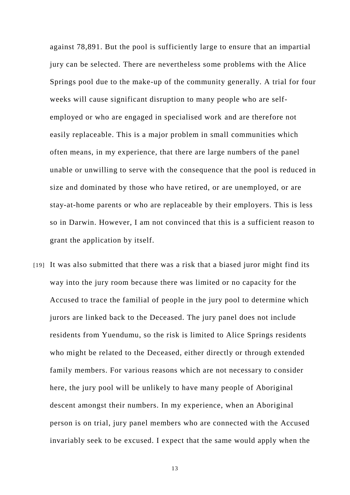against 78,891. But the pool is sufficiently large to ensure that an impartial jury can be selected. There are nevertheless some problems with the Alice Springs pool due to the make-up of the community generally. A trial for four weeks will cause significant disruption to many people who are selfemployed or who are engaged in specialised work and are therefore not easily replaceable. This is a major problem in small communities which often means, in my experience, that there are large numbers of the panel unable or unwilling to serve with the consequence that the pool is reduced in size and dominated by those who have retired, or are unemployed, or are stay-at-home parents or who are replaceable by their employers. This is less so in Darwin. However, I am not convinced that this is a sufficient reason to grant the application by itself.

[19] It was also submitted that there was a risk that a biased juror might find its way into the jury room because there was limited or no capacity for the Accused to trace the familial of people in the jury pool to determine which jurors are linked back to the Deceased. The jury panel does not include residents from Yuendumu, so the risk is limited to Alice Springs residents who might be related to the Deceased, either directly or through extended family members. For various reasons which are not necessary to consider here, the jury pool will be unlikely to have many people of Aboriginal descent amongst their numbers. In my experience, when an Aboriginal person is on trial, jury panel members who are connected with the Accused invariably seek to be excused. I expect that the same would apply when the